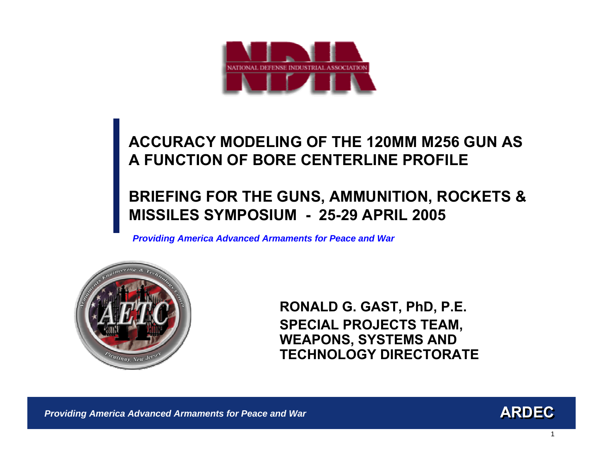

## **BRIEFING FOR THE GUNS, AMMUNITION, ROCKETS & MISSILES SYMPOSIUM - 25-29 APRIL 2005**

*Providing America Advanced Armaments for Peace and War*



**RONALD G. GAST, PhD, P.E. SPECIAL PROJECTS TEAM, WEAPONS, SYSTEMS AND TECHNOLOGY DIRECTORATE**



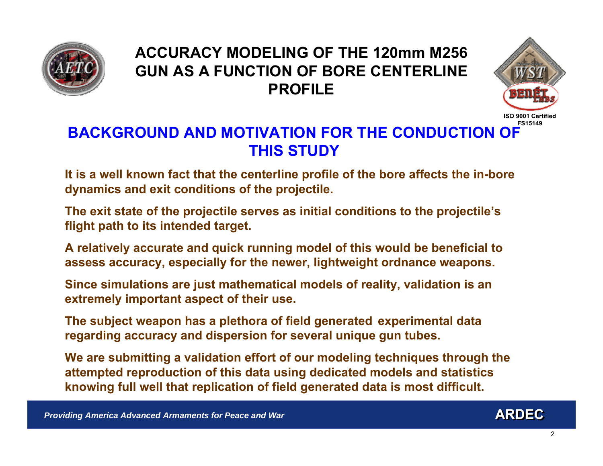



## **BACKGROUND AND MOTIVATION FOR THE CONDUCTION OFTHIS STUDY**

**It is a w ell known fact that the centerline profile of the bore affects the in-bore dynamics and exit conditions of the projectile.**

**The exit state of the projectile serves as initial conditions to the projectile's flight path to its intended target.** 

**A relatively accurate and quick running model of this would be beneficial to assess accuracy, especially for the newer, lig htweight ordnance weapons.** 

**Since simulations are just mat hematical models of reality, validation is an extremely important aspect of their use.** 

**The subject weapon has a plethora of field generated experimental data regarding accuracy and dispersion for several unique gun tubes.** 

**We are submitting a validation effort of our modeling techniques through the attempted reproduction of this data using dedicated models and statistics knowing full w ell that replication of field generated data is most difficult.**

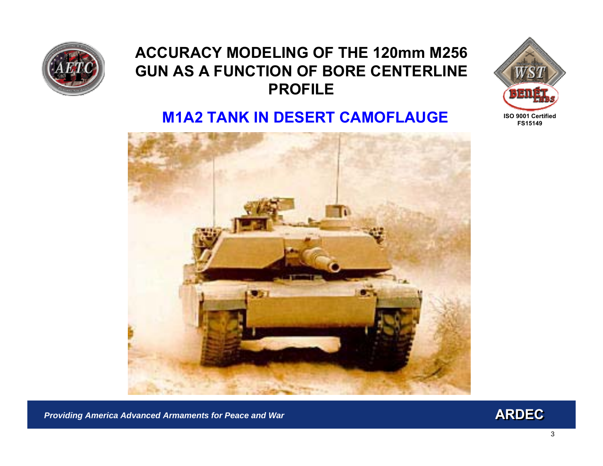



#### **M1A2 TANK IN DESERT CAMOFLAUGE**



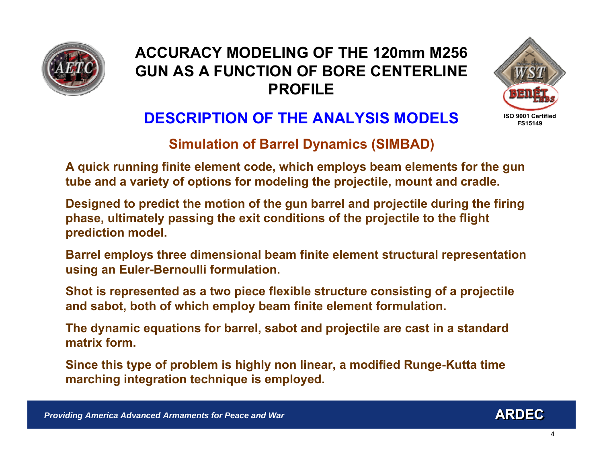



## **DESCRIPTION OF THE ANALYSIS MODELS**

#### **Simulation of Barrel Dynamics (SIMBAD)**

**A quick running finite element code, which employs beam elements for the gun tube and a variety of options for modeling the projectile, mount and cradle.**

**Designed to predict the motion of the gun barrel and projectile during the firing phase, ultimat ely passing the exit conditions of the projectile to the flight prediction model.**

Barrel employs three dimensional beam finite element structural representation **using an Euler-Bernoulli formulation.**

**Shot is represented as a two piece flexible str ucture consisting of a projectile and sabot, both of which employ beam finite element f ormulation.**

**The dynamic equations for barrel, sabot and projectile are cast in a standard matrix form.**

**Since this type of problem is highly non linear, a modified Runge-Kutta time marching integration technique is employed.**

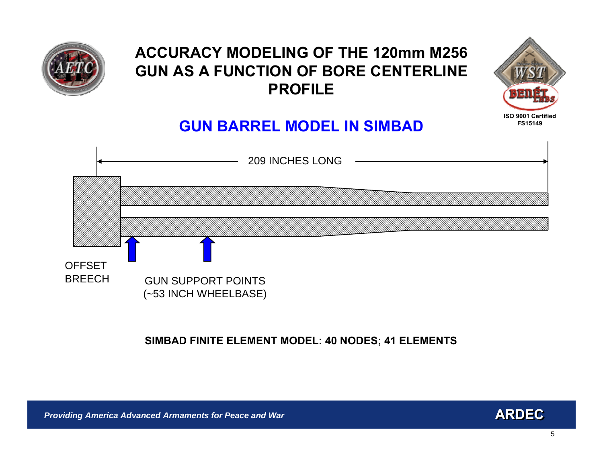



## **GUN BARREL MODEL IN SIMBAD**



#### **SIMBAD FINITE ELEMENT MODEL: 40 NODES; 41 ELEMENTS**

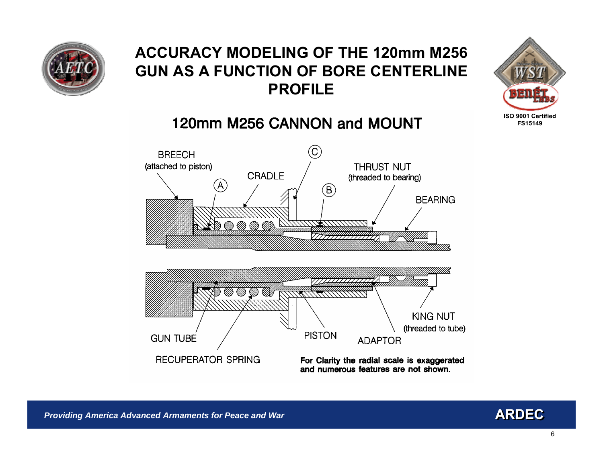



## 120mm M256 CANNON and MOUNT



and numerous features are not shown.

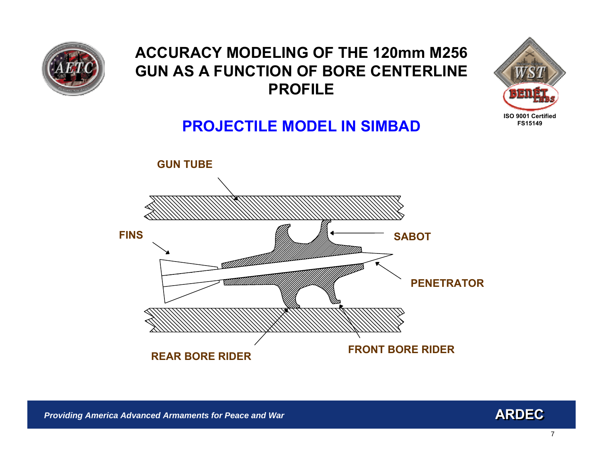



## **PROJECTILE MODEL IN SIMBAD**



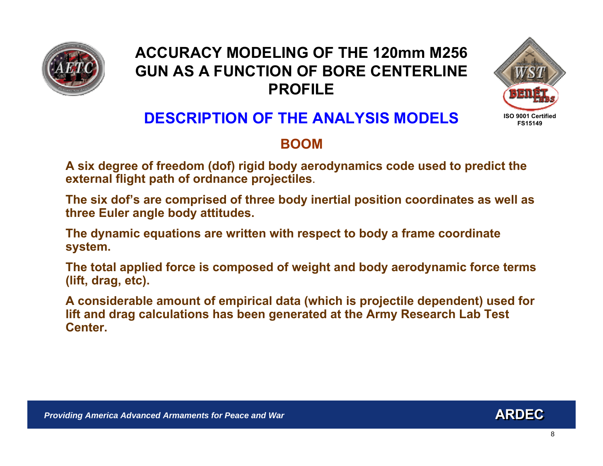



## **DESCRIPTION OF THE ANALYSIS MODELS**

#### **BOOM**

**A six degree of freedom (dof) rigid body aerodynamics code used to predict the external flight path of ordnance projectiles**.

**The six dof's are comprised of three body inertial position coordinates as well as three Euler angle body attitudes.**

**The dynamic equations are w ritten with respect to body a frame coordinate system.**

**The total applied force is composed of weight and body aerodynamic force terms (lift, dra g, e tc).**

**A considerable amount of empirical data (which is projectile depende nt) used for lift and drag calculations has been generated at the Army Research Lab Test Center.**

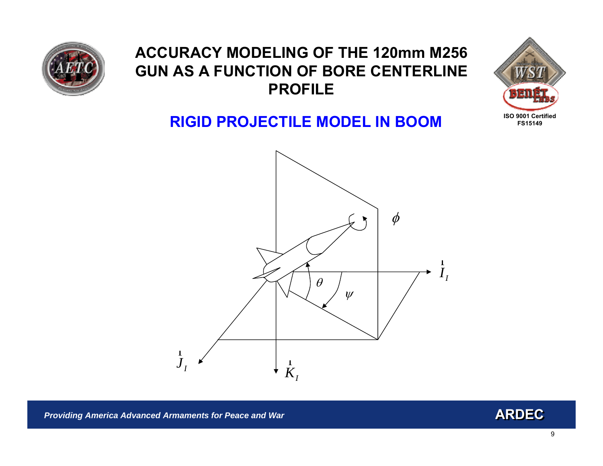



### **RIGID PROJECTILE MODEL IN BOOM**



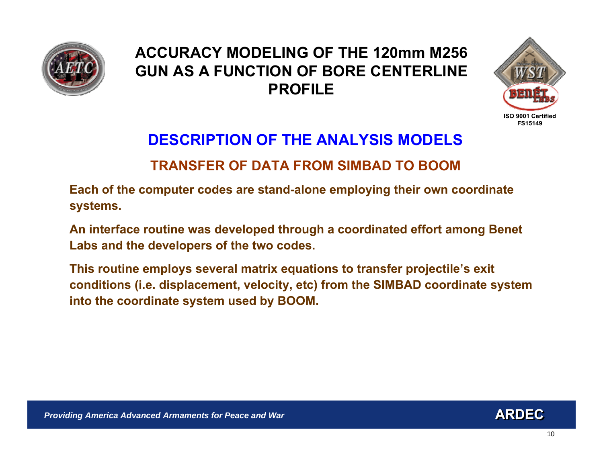



## **DESCRIPTION OF THE ANALYSIS MODELSTRANSFER OF DATA FROM SIMBAD TO BOOM**

**Each of the computer codes are stand-alone employing their own coordinate systems.** 

**An inter face routine was developed t hrough a coordinated effort among Benet Labs and the developers of the two codes.**

**This routine employs several matrix equations to transfer projectile's exit conditions (i.e. displacement, velocity, etc) from the SIMBAD coordinate system into the coordinate system used by BOO M.**

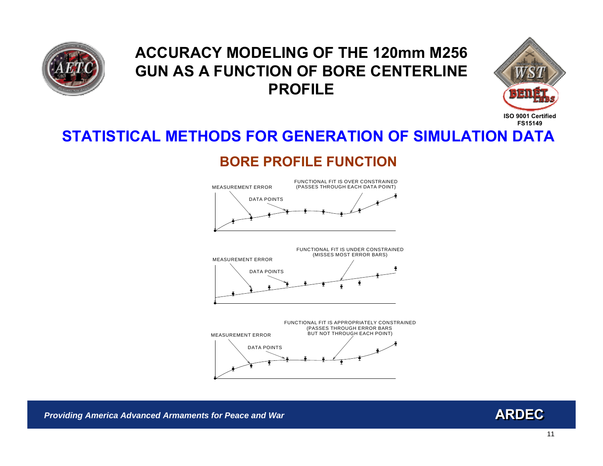



## **STATISTICAL METHODS FOR GENERATION OF SIMULATION DATA**

#### **BORE PROFILE FUNCTION**





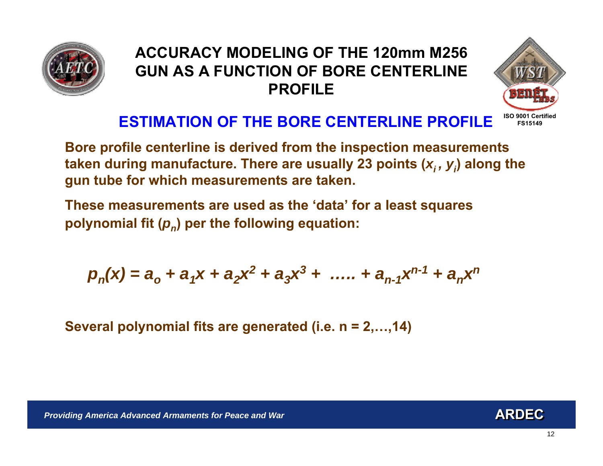



## **ESTIMATION OF THE BORE CENTERLINE PROFILE**

**Bore profile centerline is derived from the inspection measurements**  taken during manufacture. There are usually 23 points (*x<sub>i</sub> , y<sub>i</sub>)* along the **gun tube for which measurements are taken.**

**These measurements are used as the 'data' for a least squares polynomial fit (** *p <sup>n</sup>***) per the following equation:**

$$
p_n(x) = a_0 + a_1x + a_2x^2 + a_3x^3 + \dots + a_{n-1}x^{n-1} + a_nx^n
$$

**Several polynomial fits are generated (i.e. n = 2,…,14)**

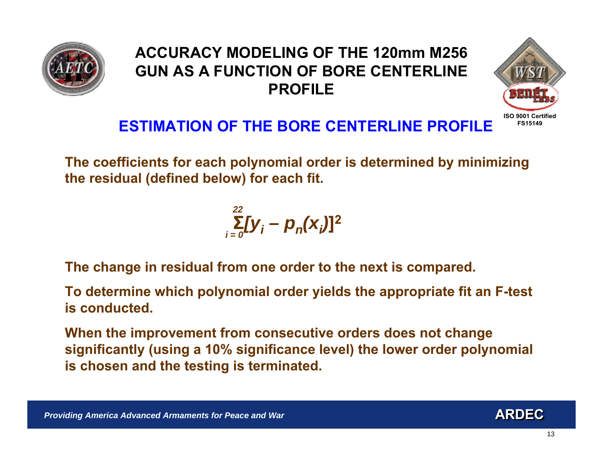



## **ESTIMATION OF THE BORE CENTERLINE PROFILE**

**The coefficients for each polynomial order is determined by minimizing the residual (defined below) for each fit.**

> $\sum_{i} [y_i - p_n(x_i)]^2$ *i = 022*

**The change in residual from one order to the next is compared.**

**To determine which polynomial order yields the appropriate fit an F-test is conducted.**

**When the improvement from consecutive orders does not change significantly (using a 10% significance level) the lower order polynomial is chosen and the testing is terminated.**



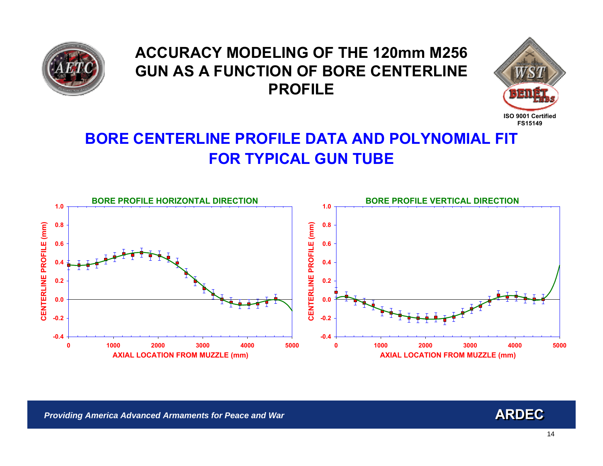



## **BORE CENTERLINE PROFILE DATA AND POLYNOMIAL FIT FOR TYPICAL GUN TUB E**



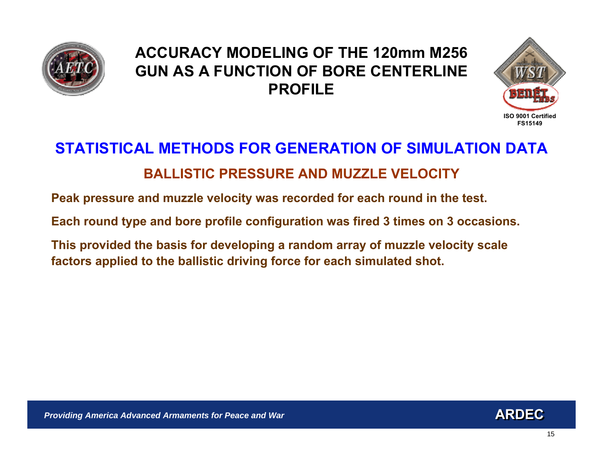



## **STATISTICAL METHODS FOR GENERATION OF SIMULATION DATABALLISTIC PRESSURE AND MUZZLE VELOCITY**

**Peak pressure and muzzle velocity was recorded for each round in t he test.**

**Each round type and bore profile configuration was fired 3 times on 3 occasions.** 

**This provided the basis for developing a random array of muzzle velocity scale factors applied to the b allistic driving force for each simulated shot.**

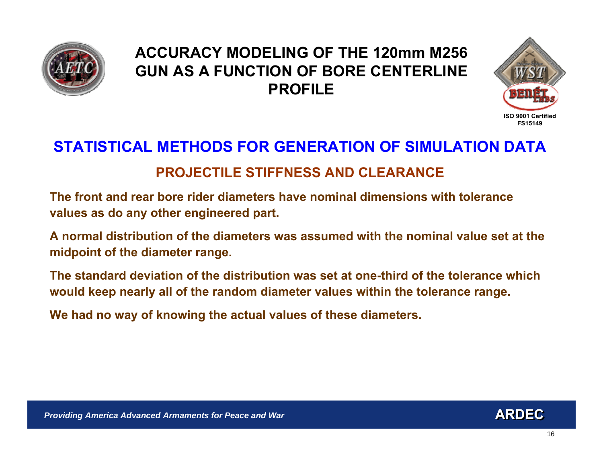



## **STATISTICAL METHODS FOR GENERATION OF SIMULATION DATAPROJECTILE STIFFNESS AND CLEARANCE**

**The front and rear bore rider diameters have nominal dimensions with tolerance values as do any other engineered part.** 

**A normal distribution of the diameters was assumed with the nominal value set at the midpoint of the diameter range.**

**The standard deviation of the distribution was set at one-third of the tolerance which would keep nearly all of the random diameter values within the tolerance range.**

**We had no way of knowing the actual values of these diameters.**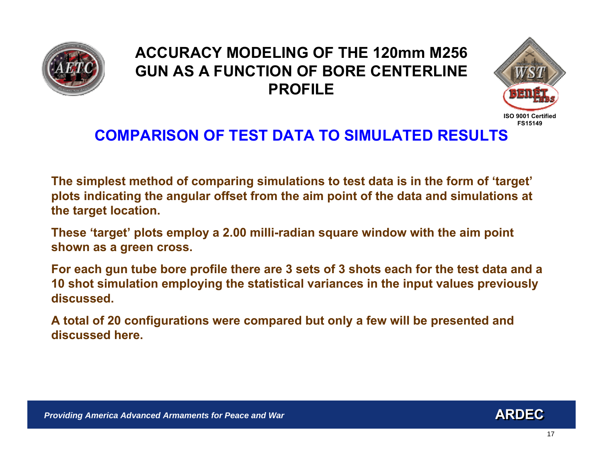



## **COMPARISON OF TEST DATA TO SIMULATED RESULTS**

**The simplest method of comparing simulations to test data is in the form of 'target' plots indicating the angular offset from the aim point of the data and simulations at the target location.** 

**These 'target' plots employ a 2.00 milli-radian square window with the aim point shown as a green cross.**

**For each gun tube bore profile there are 3 sets of 3 shots each for t he test data and a 10 shot simulation employing the statistical variances in the input values previously discussed.** 

**A total of 20 configurations were compared but only a few will be presented and discussed here.**

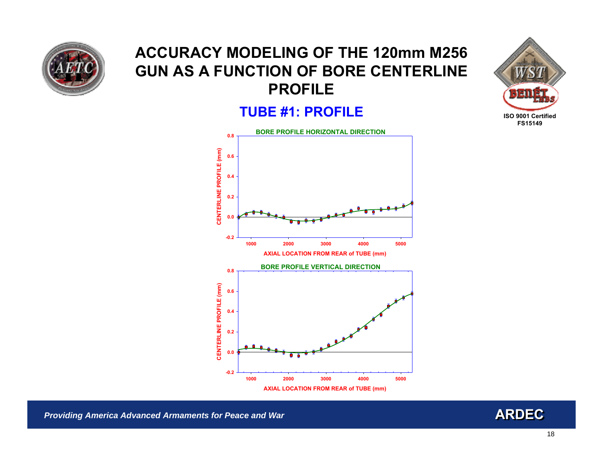

#### **TUBE #1: PROFILE**





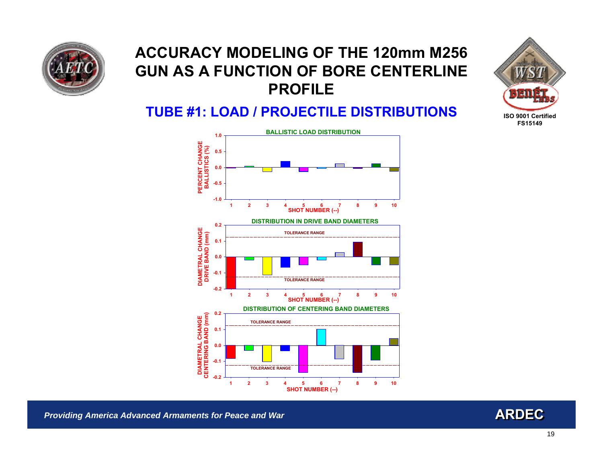



#### **TUBE #1: LOAD / PROJECTILE DISTRIBUTIONS**



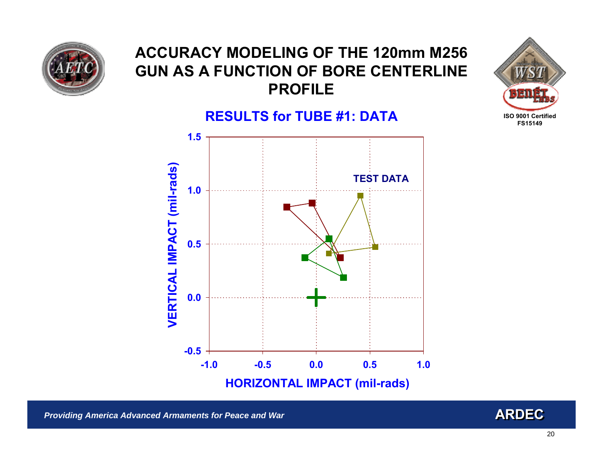







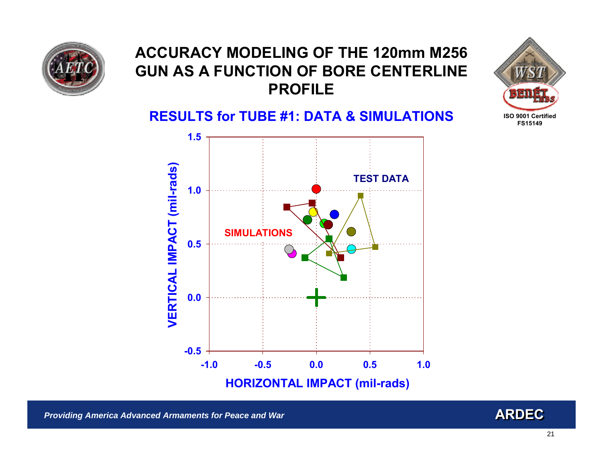



**RESULTS for TUBE #1: DATA & SIMULATIONS**



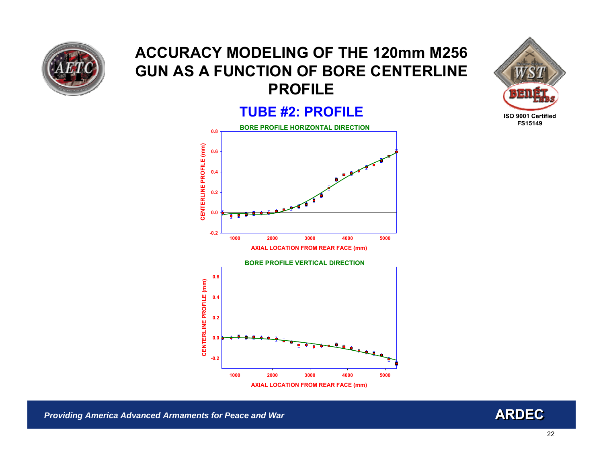

#### **TUBE #2: PROFILE**





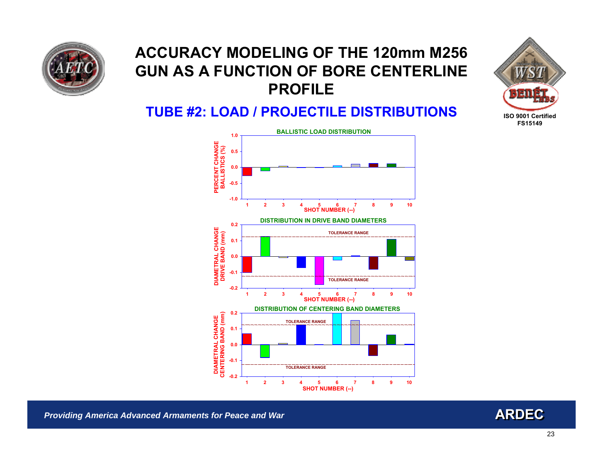



#### **TUBE #2: LOAD / PROJECTILE DISTRIBUTIONS**



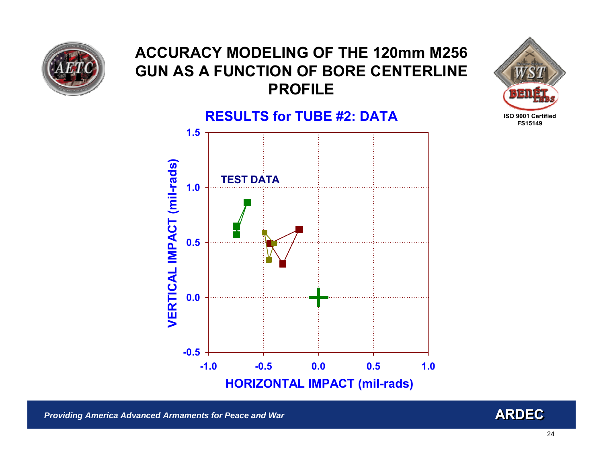





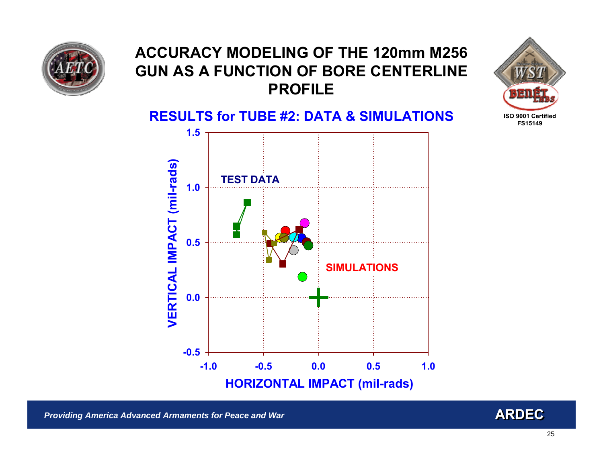







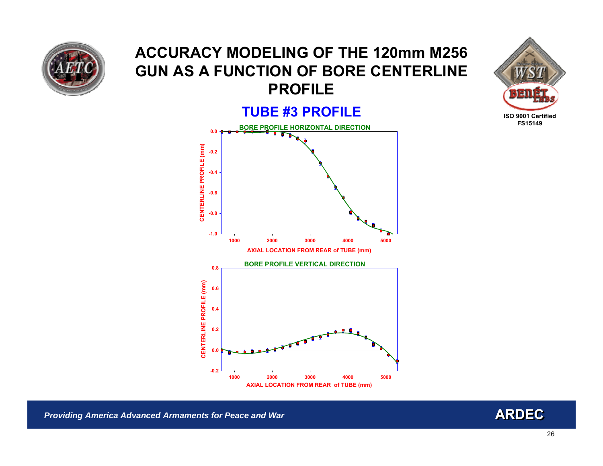

#### **TUBE #3 PROFILE**





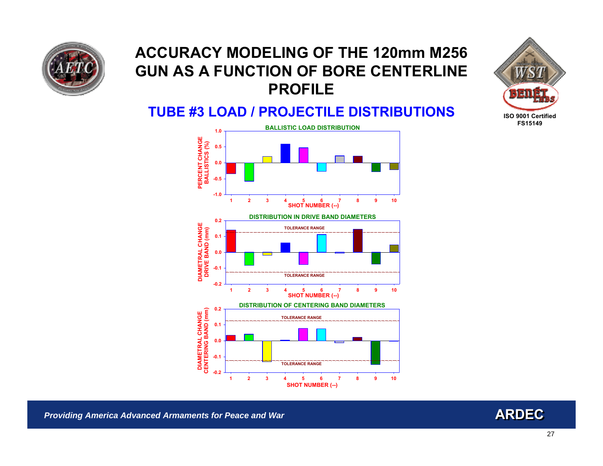



#### **TUBE #3 LOAD / PROJECTILE DISTRIBUTIONS**



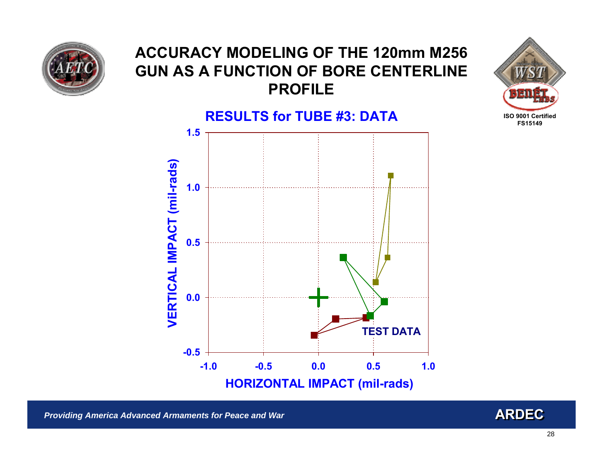





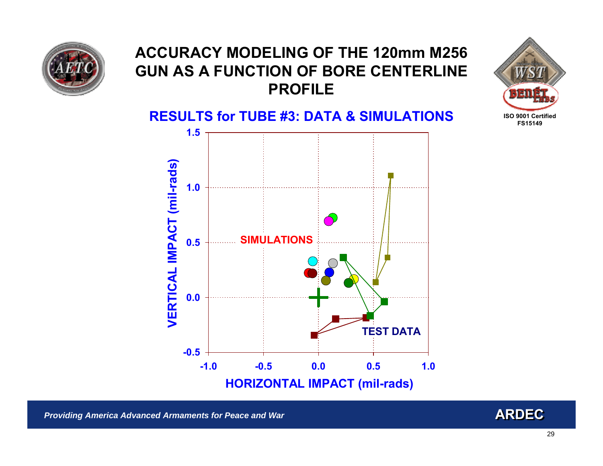





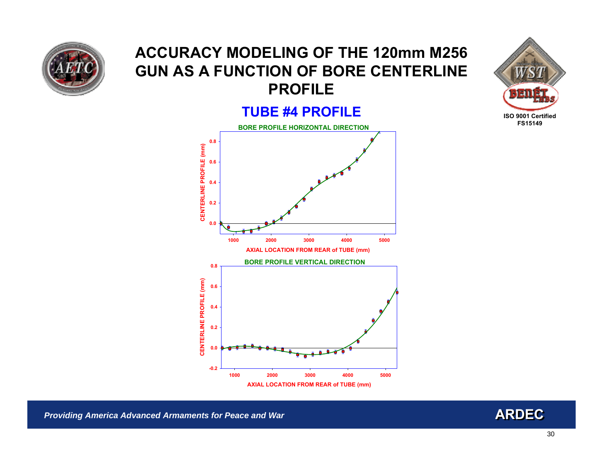

#### **TUBE #4 PROFILE**





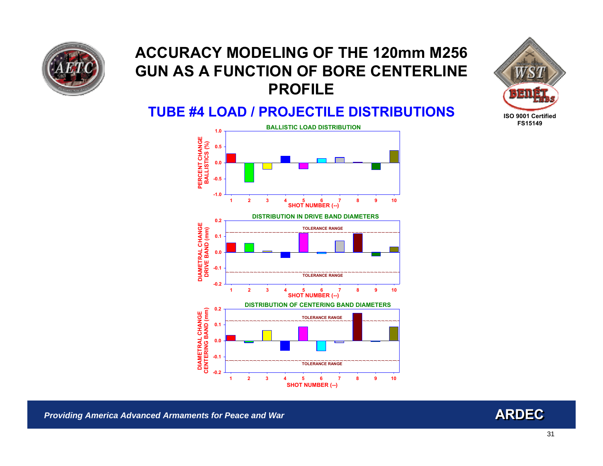



#### **TUBE #4 LOAD / PROJECTILE DISTRIBUTIONS**



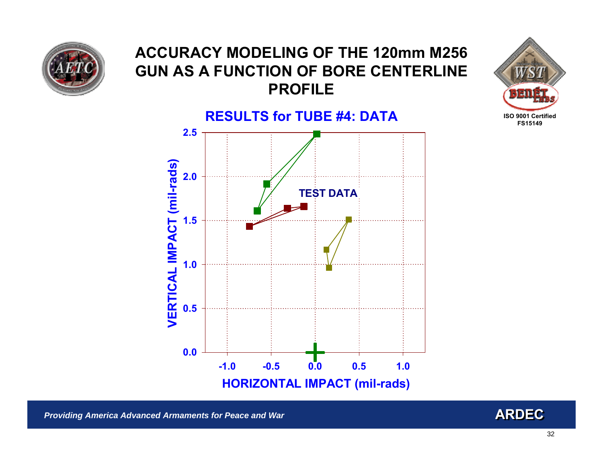





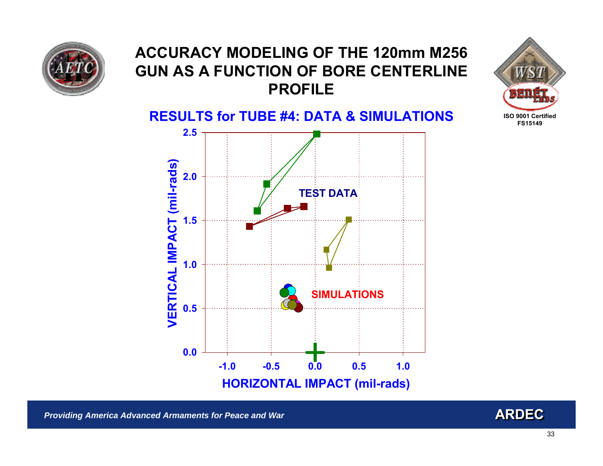







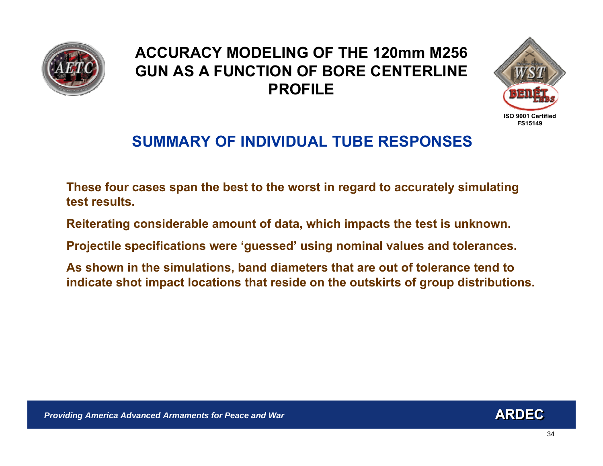



## **SUMMARY OF INDIVIDUAL TUBE RESPONSES**

**These four cases span the best to the worst i n regard to accurately simulating test results.**

**Reiterating considerable amount of data, which impacts the test is unknown.**

**Projectile specifications were 'guessed' using nominal values and tolerances.** 

**As shown in the simulations, band diameters that are out of tolerance tend to indicate shot impact locations that reside on the outskirts of group distributions.**

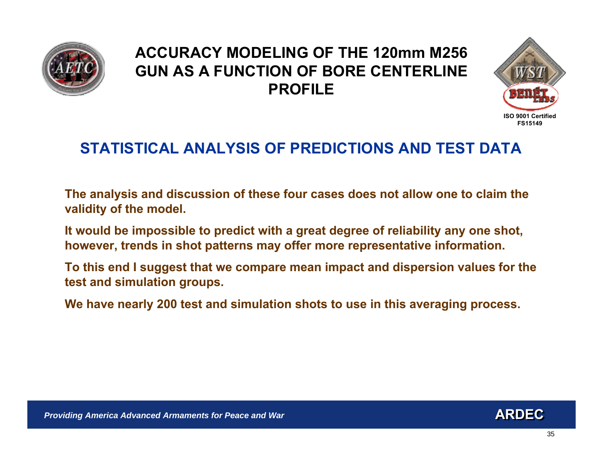



## **STATISTICAL ANALYSIS OF PREDICTIONS AND TEST DATA**

**The analysis and discussion of these four cases does not allow one to claim the validity of the model.**

**It would be impossible to predict with a great degree of reliability any one shot,**  however, trends in shot patterns may offer more representative information.

**To this end I suggest that we compare mean impact and dispersion values for the test and simulation groups.** 

**We have nearly 200 test and simulation shots to use in this averaging process.**

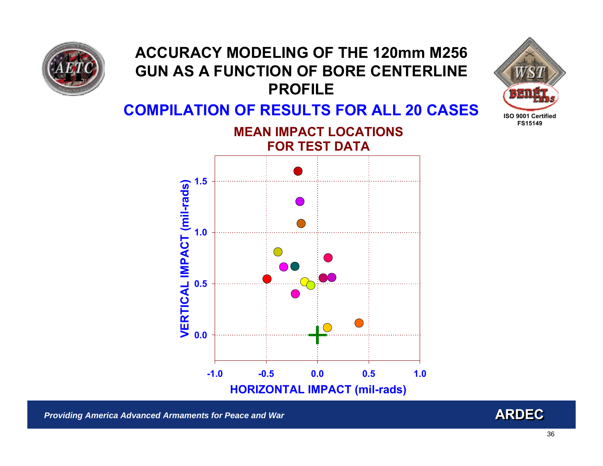



#### **COMPILATION OF RESULTS FOR ALL 20 CASES MEAN IMPACT LOCATIONS**

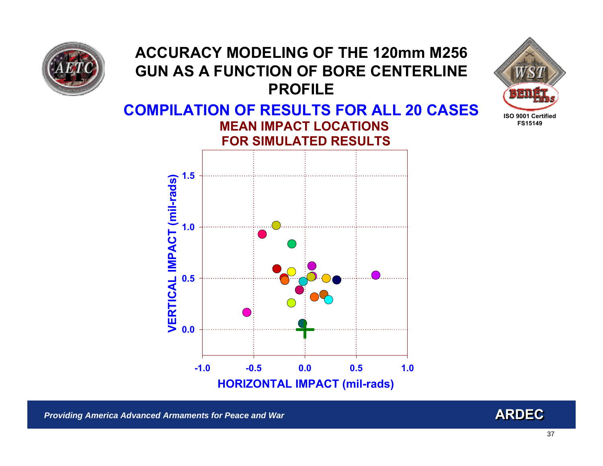





**HORIZON TAL IMPACT (mil-rads)**

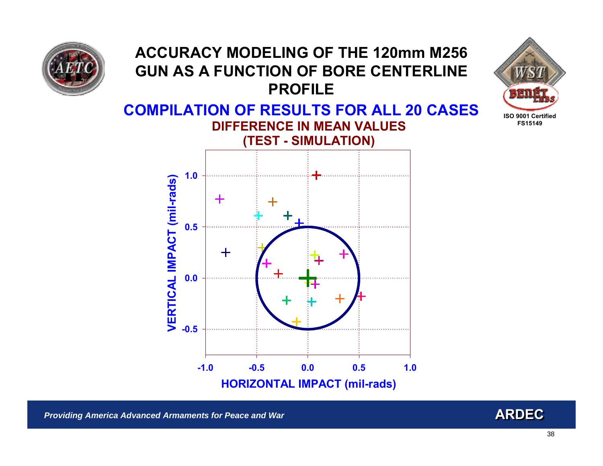

## **ACCURACY MODELING OF THE 120mm M256 GUN AS A FUNCTION OF BORE CENTERLINE PROFILECOMPILATION OF RESULTS FOR ALL 20 CASES DIFFERENCE IN MEAN VALUES(TEST - SIMULATION) 1.0VERTICAL IMPACT (mil-rads) VERTICAL IMPACT (mil-rads) -0.50.50 0.**  $-0.5$ **-1.0 -0.5 0.00.5 1.0 HORIZONTA L IMPACT (mil-rads)**

**ISO 9001 CertifiedFS15149**

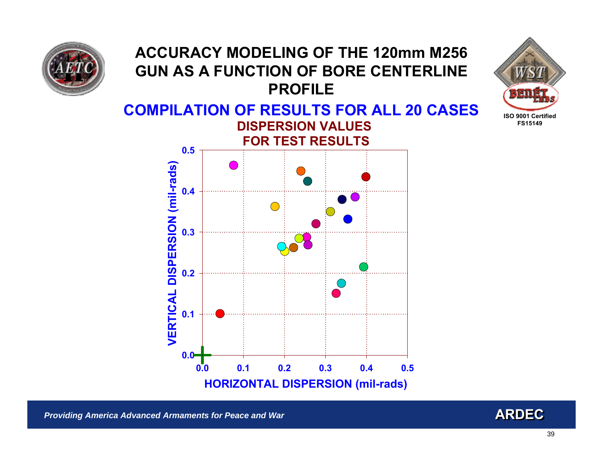





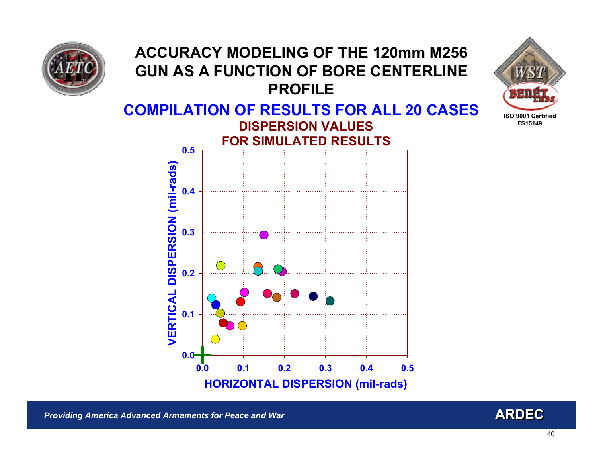





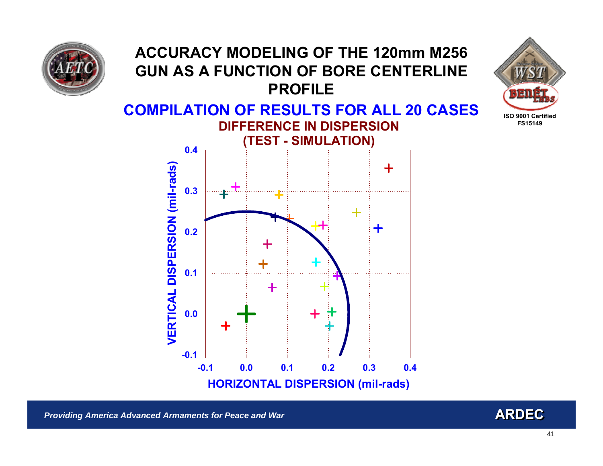

## **ACCURACY MODELING OF THE 120mm M256 GUN AS A FUNCTION OF BORE CENTERLINE PROFILECOMPILATION OF RESULTS FOR ALL 20 CASES DIFFERENCE IN DISPERSION(TEST - SIMULATION) 0.4VERTICAL DISPERSION (mil-rads) VERTICAL DISPERSION (mil-rads)** ╋ **0. 3**

**HORIZONTA L DISPERSION (mil-rads)**

**0.2**

**0.3**

**0.4**

**0.1**

*Providing America Advanced Armaments for Peace and War* **<b>ARDEC ARDEC ARDEC ARDEC** 

**-0.1**

**-0.1**

**0.0**

**0.1**

**0.2**

**0.0**

**ISO 9001 CertifiedFS15149**

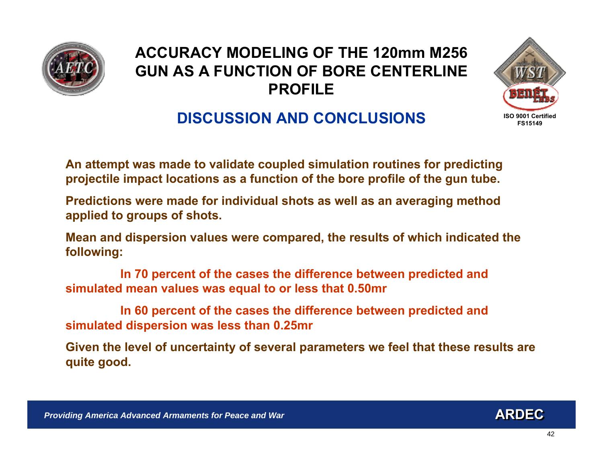



## **DISCUSSION AND CONCLUSIONS**

**An attempt was made to validate coupled simulation routines for predicting projectile impact locations as a function of the bore profile of the gun tube.** 

**Predictions were made for individual shots as well as an averaging method applied to groups of shots.** 

**Mean and dispersion values w ere compared, the results of which indicated the following:**

**In 70 percent of the cases the difference between predicted and simulat ed mean values was equal to or less that 0.50mr**

**In 60 percent of the cases the difference between predicted and simulated dispersion was less than 0.25mr**

**Given t he level of uncertainty of several parameters we feel that these resul ts are quite good.**